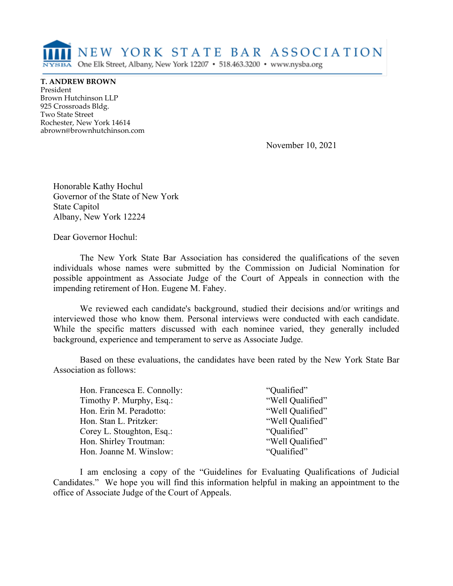

**T. ANDREW BROWN** President Brown Hutchinson LLP 925 Crossroads Bldg. Two State Street Rochester, New York 14614 abrown@brownhutchinson.com

November 10, 2021

Honorable Kathy Hochul Governor of the State of New York State Capitol Albany, New York 12224

Dear Governor Hochul:

The New York State Bar Association has considered the qualifications of the seven individuals whose names were submitted by the Commission on Judicial Nomination for possible appointment as Associate Judge of the Court of Appeals in connection with the impending retirement of Hon. Eugene M. Fahey.

We reviewed each candidate's background, studied their decisions and/or writings and interviewed those who know them. Personal interviews were conducted with each candidate. While the specific matters discussed with each nominee varied, they generally included background, experience and temperament to serve as Associate Judge.

Based on these evaluations, the candidates have been rated by the New York State Bar Association as follows:

| Hon. Francesca E. Connolly: | "Qualified"      |
|-----------------------------|------------------|
| Timothy P. Murphy, Esq.:    | "Well Qualified" |
| Hon. Erin M. Peradotto:     | "Well Qualified" |
| Hon. Stan L. Pritzker:      | "Well Qualified" |
| Corey L. Stoughton, Esq.:   | "Qualified"      |
| Hon. Shirley Troutman:      | "Well Qualified" |
| Hon. Joanne M. Winslow:     | "Qualified"      |
|                             |                  |

I am enclosing a copy of the "Guidelines for Evaluating Qualifications of Judicial Candidates." We hope you will find this information helpful in making an appointment to the office of Associate Judge of the Court of Appeals.